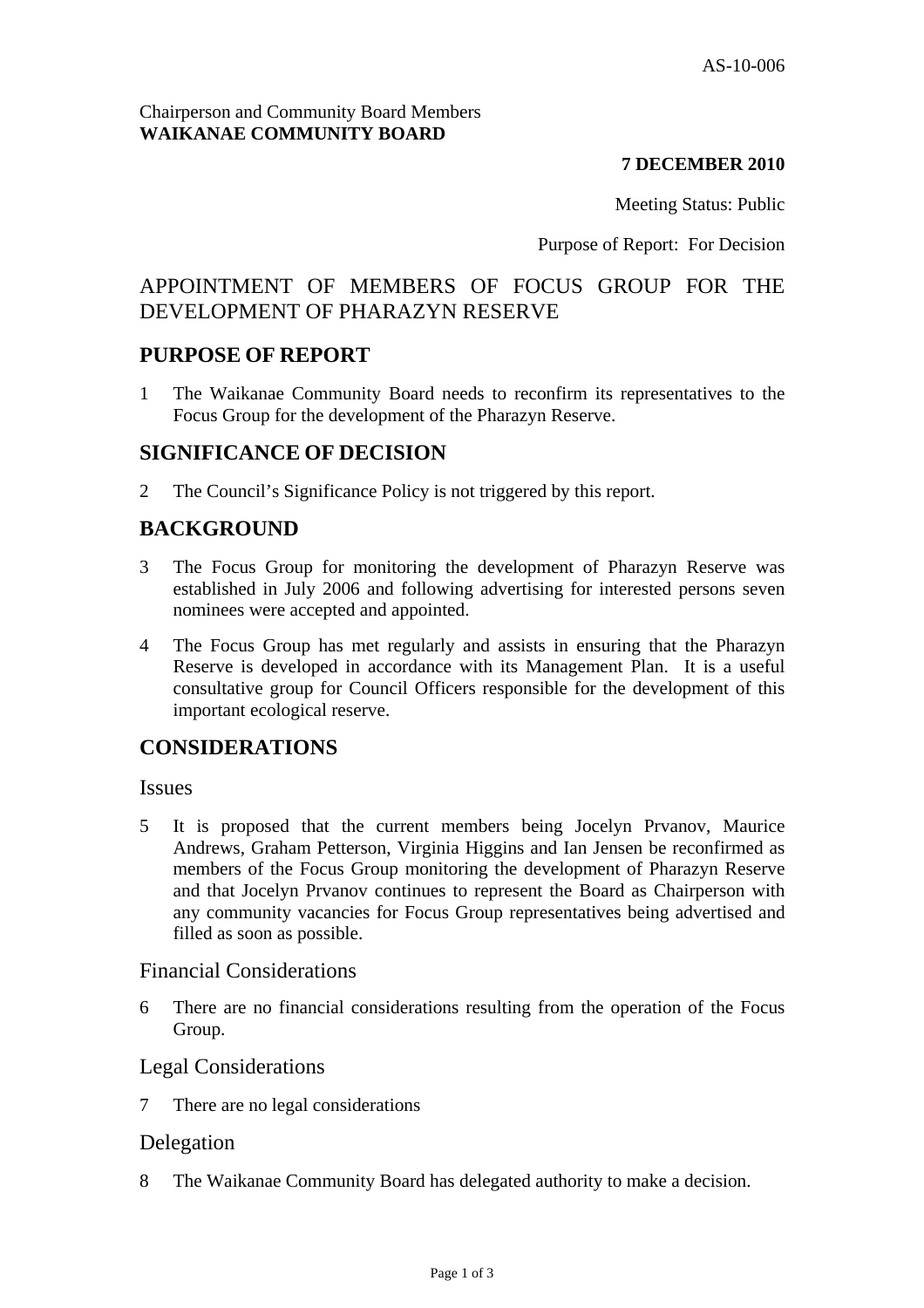## **7 DECEMBER 2010**

Meeting Status: Public

Purpose of Report: For Decision

# APPOINTMENT OF MEMBERS OF FOCUS GROUP FOR THE DEVELOPMENT OF PHARAZYN RESERVE

# **PURPOSE OF REPORT**

1 The Waikanae Community Board needs to reconfirm its representatives to the Focus Group for the development of the Pharazyn Reserve.

# **SIGNIFICANCE OF DECISION**

2 The Council's Significance Policy is not triggered by this report.

# **BACKGROUND**

- 3 The Focus Group for monitoring the development of Pharazyn Reserve was established in July 2006 and following advertising for interested persons seven nominees were accepted and appointed.
- 4 The Focus Group has met regularly and assists in ensuring that the Pharazyn Reserve is developed in accordance with its Management Plan. It is a useful consultative group for Council Officers responsible for the development of this important ecological reserve.

## **CONSIDERATIONS**

#### Issues

5 It is proposed that the current members being Jocelyn Prvanov, Maurice Andrews, Graham Petterson, Virginia Higgins and Ian Jensen be reconfirmed as members of the Focus Group monitoring the development of Pharazyn Reserve and that Jocelyn Prvanov continues to represent the Board as Chairperson with any community vacancies for Focus Group representatives being advertised and filled as soon as possible.

## Financial Considerations

6 There are no financial considerations resulting from the operation of the Focus Group.

## Legal Considerations

7 There are no legal considerations

## Delegation

8 The Waikanae Community Board has delegated authority to make a decision.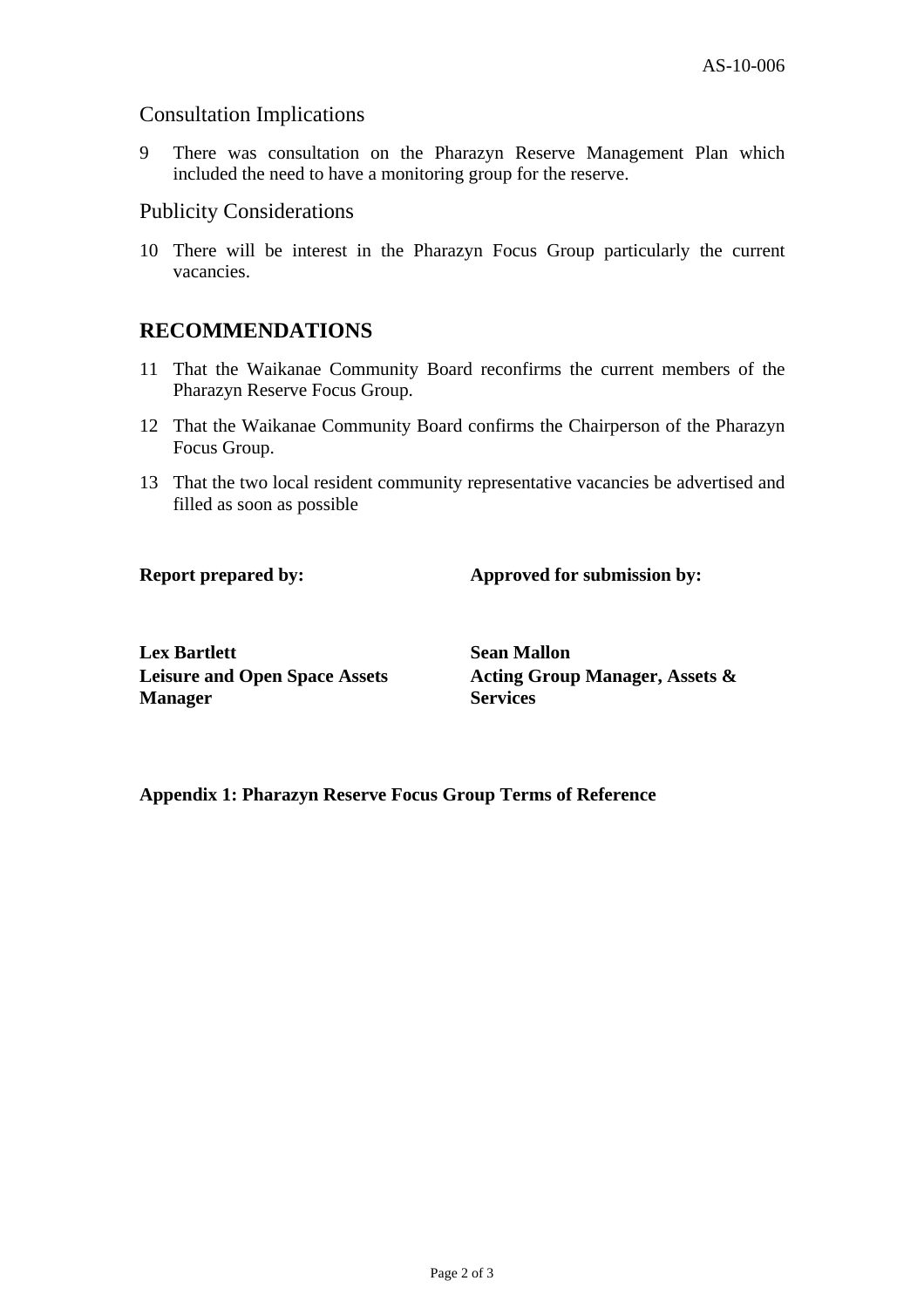#### Consultation Implications

9 There was consultation on the Pharazyn Reserve Management Plan which included the need to have a monitoring group for the reserve.

#### Publicity Considerations

10 There will be interest in the Pharazyn Focus Group particularly the current vacancies.

# **RECOMMENDATIONS**

- 11 That the Waikanae Community Board reconfirms the current members of the Pharazyn Reserve Focus Group.
- 12 That the Waikanae Community Board confirms the Chairperson of the Pharazyn Focus Group.
- 13 That the two local resident community representative vacancies be advertised and filled as soon as possible

**Report prepared by:** Approved for submission by:

**Lex Bartlett** Sean Mallon **Leisure and Open Space Assets Manager** 

**Acting Group Manager, Assets & Services** 

#### **Appendix 1: Pharazyn Reserve Focus Group Terms of Reference**